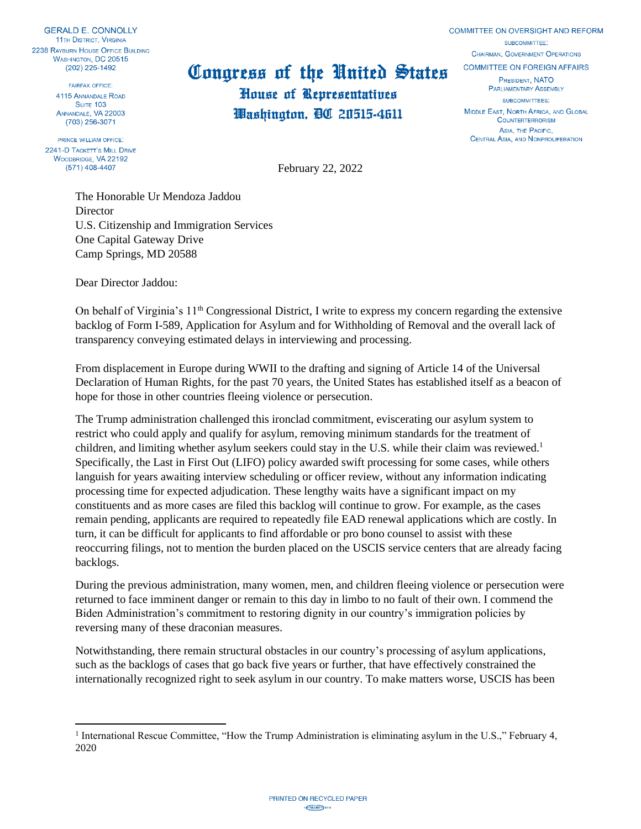**GERALD E. CONNOLLY 11TH DISTRICT, VIRGINIA** 2238 RAYBURN HOUSE OFFICE BUILDING WASHINGTON, DC 20515  $(202)$  225-1492

> **FAIREAX OFFICE** 4115 ANNANDALE ROAD SUITE 103 ANNANDALE, VA 22003  $(703)$  256-3071

PRINCE WILLIAM OFFICE. 2241-D TACKETT'S MILL DRIVE WOODBRIDGE, VA 22192  $(571)$  408-4407

## Congress of the United States

House of Representatives Washington, DC 20515-4611 COMMITTEE ON OVERSIGHT AND REFORM SUBCOMMITTEE' **CHAIRMAN, GOVERNMENT OPERATIONS COMMITTEE ON FOREIGN AFFAIRS PRESIDENT NATO PARLIAMENTARY ASSEMBLY** SUBCOMMITTEES: MIDDLE EAST, NORTH AFRICA, AND GLOBAL

**COUNTERTERRORISM** ASIA, THE PACIFIC. CENTRAL ASIA, AND NONPROLIFERATION

February 22, 2022

The Honorable Ur Mendoza Jaddou **Director** U.S. Citizenship and Immigration Services One Capital Gateway Drive Camp Springs, MD 20588

Dear Director Jaddou:

On behalf of Virginia's 11<sup>th</sup> Congressional District, I write to express my concern regarding the extensive backlog of Form I-589, Application for Asylum and for Withholding of Removal and the overall lack of transparency conveying estimated delays in interviewing and processing.

From displacement in Europe during WWII to the drafting and signing of Article 14 of the Universal Declaration of Human Rights, for the past 70 years, the United States has established itself as a beacon of hope for those in other countries fleeing violence or persecution.

The Trump administration challenged this ironclad commitment, eviscerating our asylum system to restrict who could apply and qualify for asylum, removing minimum standards for the treatment of children, and limiting whether asylum seekers could stay in the U.S. while their claim was reviewed.<sup>1</sup> Specifically, the Last in First Out (LIFO) policy awarded swift processing for some cases, while others languish for years awaiting interview scheduling or officer review, without any information indicating processing time for expected adjudication. These lengthy waits have a significant impact on my constituents and as more cases are filed this backlog will continue to grow. For example, as the cases remain pending, applicants are required to repeatedly file EAD renewal applications which are costly. In turn, it can be difficult for applicants to find affordable or pro bono counsel to assist with these reoccurring filings, not to mention the burden placed on the USCIS service centers that are already facing backlogs.

During the previous administration, many women, men, and children fleeing violence or persecution were returned to face imminent danger or remain to this day in limbo to no fault of their own. I commend the Biden Administration's commitment to restoring dignity in our country's immigration policies by reversing many of these draconian measures.

Notwithstanding, there remain structural obstacles in our country's processing of asylum applications, such as the backlogs of cases that go back five years or further, that have effectively constrained the internationally recognized right to seek asylum in our country. To make matters worse, USCIS has been

<sup>&</sup>lt;sup>1</sup> International Rescue Committee, "How the Trump Administration is eliminating asylum in the U.S.," February 4, 2020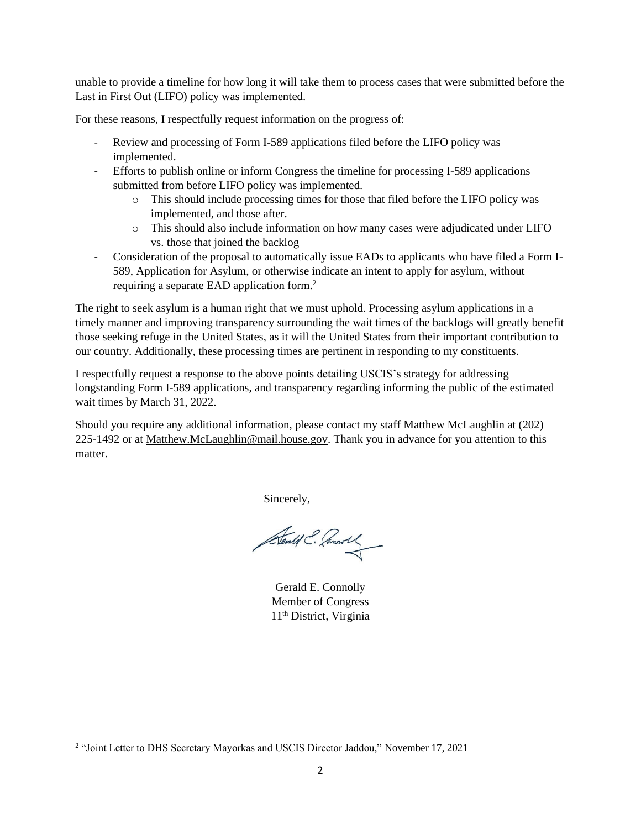unable to provide a timeline for how long it will take them to process cases that were submitted before the Last in First Out (LIFO) policy was implemented.

For these reasons, I respectfully request information on the progress of:

- Review and processing of Form I-589 applications filed before the LIFO policy was implemented.
- Efforts to publish online or inform Congress the timeline for processing I-589 applications submitted from before LIFO policy was implemented.
	- o This should include processing times for those that filed before the LIFO policy was implemented, and those after.
	- o This should also include information on how many cases were adjudicated under LIFO vs. those that joined the backlog
- Consideration of the proposal to automatically issue EADs to applicants who have filed a Form I-589, Application for Asylum, or otherwise indicate an intent to apply for asylum, without requiring a separate EAD application form.<sup>2</sup>

The right to seek asylum is a human right that we must uphold. Processing asylum applications in a timely manner and improving transparency surrounding the wait times of the backlogs will greatly benefit those seeking refuge in the United States, as it will the United States from their important contribution to our country. Additionally, these processing times are pertinent in responding to my constituents.

I respectfully request a response to the above points detailing USCIS's strategy for addressing longstanding Form I-589 applications, and transparency regarding informing the public of the estimated wait times by March 31, 2022.

Should you require any additional information, please contact my staff Matthew McLaughlin at (202) 225-1492 or at [Matthew.McLaughlin@mail.house.gov.](mailto:Matthew.McLaughlin@mail.house.gov) Thank you in advance for you attention to this matter.

Sincerely,

Sentif E. Commons

Gerald E. Connolly Member of Congress 11th District, Virginia

<sup>&</sup>lt;sup>2</sup> "Joint Letter to DHS Secretary Mayorkas and USCIS Director Jaddou," November 17, 2021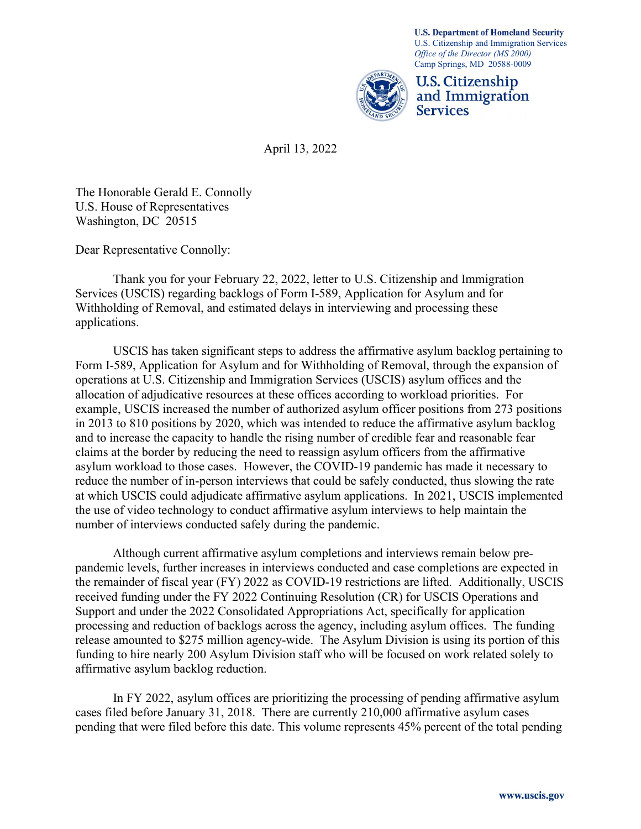

April 13, 2022

The Honorable Gerald E. Connolly U.S. House of Representatives Washington, DC 20515

Dear Representative Connolly:

 Thank you for your February 22, 2022, letter to U.S. Citizenship and Immigration Services (USCIS) regarding backlogs of Form I-589, Application for Asylum and for Withholding of Removal, and estimated delays in interviewing and processing these applications.

USCIS has taken significant steps to address the affirmative asylum backlog pertaining to Form I-589, Application for Asylum and for Withholding of Removal, through the expansion of operations at U.S. Citizenship and Immigration Services (USCIS) asylum offices and the allocation of adjudicative resources at these offices according to workload priorities. For example, USCIS increased the number of authorized asylum officer positions from 273 positions in 2013 to 810 positions by 2020, which was intended to reduce the affirmative asylum backlog and to increase the capacity to handle the rising number of credible fear and reasonable fear claims at the border by reducing the need to reassign asylum officers from the affirmative asylum workload to those cases. However, the COVID-19 pandemic has made it necessary to reduce the number of in-person interviews that could be safely conducted, thus slowing the rate at which USCIS could adjudicate affirmative asylum applications. In 2021, USCIS implemented the use of video technology to conduct affirmative asylum interviews to help maintain the number of interviews conducted safely during the pandemic.

Although current affirmative asylum completions and interviews remain below prepandemic levels, further increases in interviews conducted and case completions are expected in the remainder of fiscal year (FY) 2022 as COVID-19 restrictions are lifted. Additionally, USCIS received funding under the FY 2022 Continuing Resolution (CR) for USCIS Operations and Support and under the 2022 Consolidated Appropriations Act, specifically for application processing and reduction of backlogs across the agency, including asylum offices. The funding release amounted to \$275 million agency-wide. The Asylum Division is using its portion of this funding to hire nearly 200 Asylum Division staff who will be focused on work related solely to affirmative asylum backlog reduction.

In FY 2022, asylum offices are prioritizing the processing of pending affirmative asylum cases filed before January 31, 2018. There are currently 210,000 affirmative asylum cases pending that were filed before this date. This volume represents 45% percent of the total pending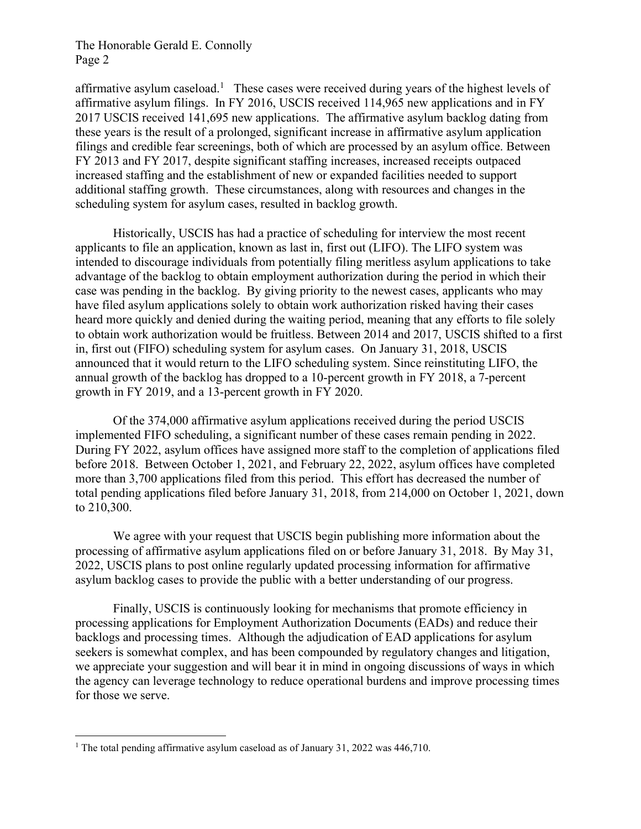## The Honorable Gerald E. Connolly Page 2

affirmative asylum caseload.<sup>1</sup> These cases were received during years of the highest levels of affirmative asylum filings. In FY 2016, USCIS received 114,965 new applications and in FY 2017 USCIS received 141,695 new applications. The affirmative asylum backlog dating from these years is the result of a prolonged, significant increase in affirmative asylum application filings and credible fear screenings, both of which are processed by an asylum office. Between FY 2013 and FY 2017, despite significant staffing increases, increased receipts outpaced increased staffing and the establishment of new or expanded facilities needed to support additional staffing growth. These circumstances, along with resources and changes in the scheduling system for asylum cases, resulted in backlog growth.

Historically, USCIS has had a practice of scheduling for interview the most recent applicants to file an application, known as last in, first out (LIFO). The LIFO system was intended to discourage individuals from potentially filing meritless asylum applications to take advantage of the backlog to obtain employment authorization during the period in which their case was pending in the backlog. By giving priority to the newest cases, applicants who may have filed asylum applications solely to obtain work authorization risked having their cases heard more quickly and denied during the waiting period, meaning that any efforts to file solely to obtain work authorization would be fruitless. Between 2014 and 2017, USCIS shifted to a first in, first out (FIFO) scheduling system for asylum cases. On January 31, 2018, USCIS announced that it would return to the LIFO scheduling system. Since reinstituting LIFO, the annual growth of the backlog has dropped to a 10-percent growth in FY 2018, a 7-percent growth in FY 2019, and a 13-percent growth in FY 2020.

Of the 374,000 affirmative asylum applications received during the period USCIS implemented FIFO scheduling, a significant number of these cases remain pending in 2022. During FY 2022, asylum offices have assigned more staff to the completion of applications filed before 2018. Between October 1, 2021, and February 22, 2022, asylum offices have completed more than 3,700 applications filed from this period. This effort has decreased the number of total pending applications filed before January 31, 2018, from 214,000 on October 1, 2021, down to 210,300.

We agree with your request that USCIS begin publishing more information about the processing of affirmative asylum applications filed on or before January 31, 2018. By May 31, 2022, USCIS plans to post online regularly updated processing information for affirmative asylum backlog cases to provide the public with a better understanding of our progress.

Finally, USCIS is continuously looking for mechanisms that promote efficiency in processing applications for Employment Authorization Documents (EADs) and reduce their backlogs and processing times. Although the adjudication of EAD applications for asylum seekers is somewhat complex, and has been compounded by regulatory changes and litigation, we appreciate your suggestion and will bear it in mind in ongoing discussions of ways in which the agency can leverage technology to reduce operational burdens and improve processing times for those we serve.

<sup>&</sup>lt;sup>1</sup> The total pending affirmative asylum caseload as of January 31, 2022 was 446,710.